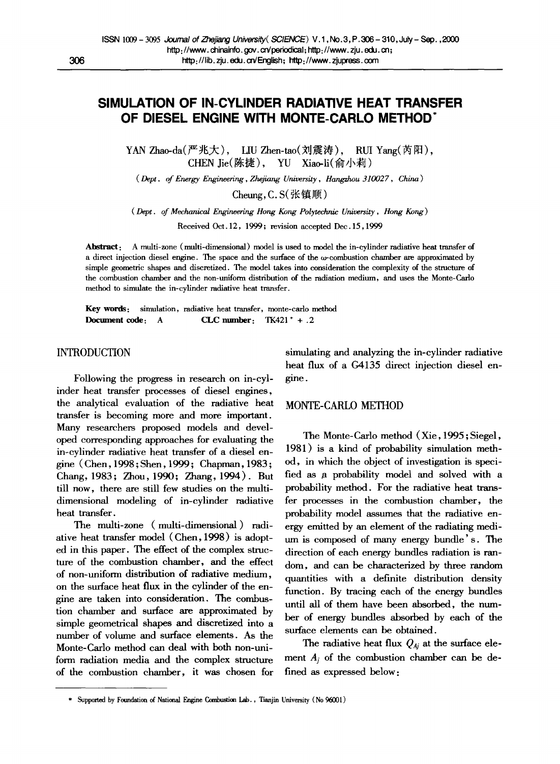# **SIMULATION OF IN-CYLINDER RADIATIVE HEAT TRANSFER OF DIESEL ENGINE WITH MONTE-CARLO METHOD"**

YAN Zhao-da(严兆大), LIU Zhen-tao(刘震涛), RUI Yang(芮阳), CHEN Jie(陈捷), YU Xiao-li(俞小莉)

*( Dept. of Energy Engineering, Zhejiang University, Hangzhou 310027, China)* 

 $Cheune, C. S(HH#W)$ 

*(Dept. of Mechanical Engineering Hong Kong Polytechnic University, Hong Kong )* 

Received Oct. 12, 1999; revision accepted Dec. 15,1999

Abstract: A multi-zone (multi-dimensional) model is used to model the in-cylinder radiative heat transfer of a direct injection diesel engine. The space and the surface of the  $\omega$ -combustion chamber are approximated by simple geometric shapes and discretized. The model takes into consideration the complexity of the structure of the combustion chamber and the non-uniform distribution of the radiation medium, and uses the Monte-Carlo method to simulate the in-cylinder radiative heat transfer.

Key words: simulation, radiative heat transfer, monte-carlo method Document code:  $A$  **CLC** number:  $TK421 + .2$ 

# INTRODUCTION

Following the progress in research on in-cylinder heat transfer processes of diesel engines, the analytical evaluation of the radiative heat transfer is becoming more and more important. Many researchers proposed models and developed corresponding approaches for evaluating the in-cylinder radiative heat transfer of a diesel engine (Chen, 1998;Shen, 1999; Chapman, 1983; Chang, 1983; Zhou, 1990; Zhang, 1994). But till now, there are still few studies on the multidimensional modeling of in-cylinder radiative heat transfer.

The multi-zone ( multi-dimensional ) radiative heat transfer model (Chen, 1998) is adopted in this paper. The effect of the complex structure of the combustion chamber, and the effect of non-uniform distribution of radiative medium, on the surface heat flux in the cylinder of the engine are taken into consideration. The combustion chamber and surface are approximated by simple geometrical shapes and discretized into a number of volume and surface elements. As the Monte-Carlo method can deal with both non-uniform radiation media and the complex structure of the combustion chamber, it was chosen for

simulating and analyzing the in-cylinder radiative heat flux of a G4135 direct injection diesel engine.

### MONTE-CARLO METHOD

The Monte-Carlo method (Xie, 1995 ; Siegel, 1981 ) is a kind of probability simulation method, in which the object of investigation is specified as a probability model and solved with a probability method. For the radiative heat transfer processes in the combustion chamber, the probability model assumes that the radiative energy emitted by an element of the radiating medium is composed of many energy bundle's. The direction of each energy bundles radiation is random, and can be characterized by three random quantities with a definite distribution density function. By tracing each of the energy bundles until all of them have been absorbed, the number of energy bundles absorbed by each of the surface elements can be obtained.

The radiative heat flux  $Q_{kj}$  at the surface element  $A_i$  of the combustion chamber can be defined as expressed below:

<sup>\*</sup> Supported by Foundation of National Engine Combustion Lab., Tianjin University (No 96001)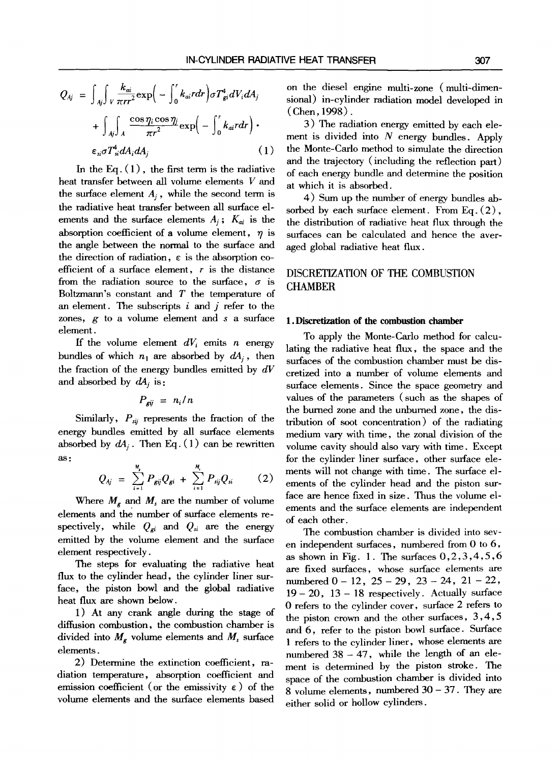$$
Q_{Aj} = \int_{Aj} \int_{V} \frac{k_{ai}}{\pi r r^{2}} \exp\left(-\int_{0}^{r} k_{ai} r dr\right) \sigma T_{gi}^{4} dV_{i} dA_{j} + \int_{Aj} \int_{A} \frac{\cos \eta_{i} \cos \eta_{i}}{\pi r^{2}} \exp\left(-\int_{0}^{r} k_{ai} r dr\right) \cdot \epsilon_{si} \sigma T_{si}^{4} dA_{i} dA_{j}
$$
 (1)

In the Eq.  $(1)$ , the first term is the radiative heat transfer between all volume elements V and the surface element  $A_i$ , while the second term is the radiative heat transfer between all surface elements and the surface elements  $A_i$ ;  $K_{ai}$  is the absorption coefficient of a volume element,  $\eta$  is the angle between the normal to the surface and the direction of radiation,  $\varepsilon$  is the absorption coefficient of a surface element,  $r$  is the distance from the radiation source to the surface,  $\sigma$  is Boltzmann's constant and  $T$  the temperature of an element. The subscripts  $i$  and  $j$  refer to the zones, g to a volume element and s a surface element.

If the volume element  $dV_i$  emits n energy bundles of which  $n_1$  are absorbed by  $dA_i$ , then the fraction of the energy bundles emitted by *dV*  and absorbed by  $dA_i$  is:

$$
P_{gij} = n_i/n
$$

Similarly,  $P_{sij}$  represents the fraction of the energy bundles emitted by all surface elements absorbed by  $dA_i$ . Then Eq. (1) can be rewritten as:

$$
Q_{Aj} = \sum_{i=1}^{M} P_{gij} Q_{gi} + \sum_{i=1}^{M} P_{ij} Q_{si}
$$
 (2)

Where  $M_{\epsilon}$  and  $M_{s}$  are the number of volume elements and the number of surface elements respectively, while  $Q_{gi}$  and  $Q_{si}$  are the energy emitted by the volume element and the surface element respectively.

The steps for evaluating the radiative heat flux to the cylinder head, the cylinder liner surface, the piston bowl and the global radiative heat flux are shown below.

1) At any crank angle during the stage of diffusion combustion, the combustion chamber is divided into  $M_g$  volume elements and  $M_s$  surface elements.

2) Determine the extinction coefficient, radiation temperature, absorption coefficient and emission coefficient (or the emissivity  $\varepsilon$ ) of the volume elements and the surface elements based on the diesel engine multi-zone (multi-dimensional) in-cylinder radiation model developed in (Chen, 1998).

3) The radiation energy emitted by each element is divided into  $N$  energy bundles. Apply the Monte-Carlo method to simulate the direction and the trajectory (including the reflection part) of each energy bundle and determine the position at which it is absorbed.

4) Sum up the number of energy bundles absorbed by each surface element. From Eq. (2), the distribution of radiative heat flux through the surfaces can be calculated and hence the averaged global radiative heat flux.

# DISCRETIZATION OF THE COMBUSTION CHAMBER

#### **1. Discretization of the combustion chamber**

To apply the Monte-Carlo method for calculating the radiative heat flux, the space and the surfaces of the combustion chamber must be discretized into a number of volume elements and surface elements. Since the space geometry and values of the parameters (such as the shapes of the burned zone and the unburned zone, the distribution of soot concentration) of the radiating medium vary with time, the zonal division of the volume cavity should also vary with time. Except for the cylinder liner surface, other surface elements will not change with time. The surface elements of the cylinder head and the piston surface are hence fixed in size. Thus the volume elements and the surface elements are independent of each other.

The combustion chamber is divided into seven independent surfaces, numbered from 0 to 6, as shown in Fig. 1. The surfaces  $0, 2, 3, 4, 5, 6$ are fixed surfaces, whose surface elements are numbered  $0 - 12$ ,  $25 - 29$ ,  $23 - 24$ ,  $21 - 22$ ,  $19-20$ ,  $13-18$  respectively. Actually surface 0 refers to the cylinder cover, surface 2 refers to the piston crown and the other surfaces, 3,4,5 and 6, refer to the piston bowl surface. Surface 1 refers to the cylinder liner, whose elements are numbered  $38 - 47$ , while the length of an element is determined by the piston stroke. The space of the combustion chamber is divided into 8 volume elements, numbered  $30 - 37$ . They are either solid or hollow cylinders.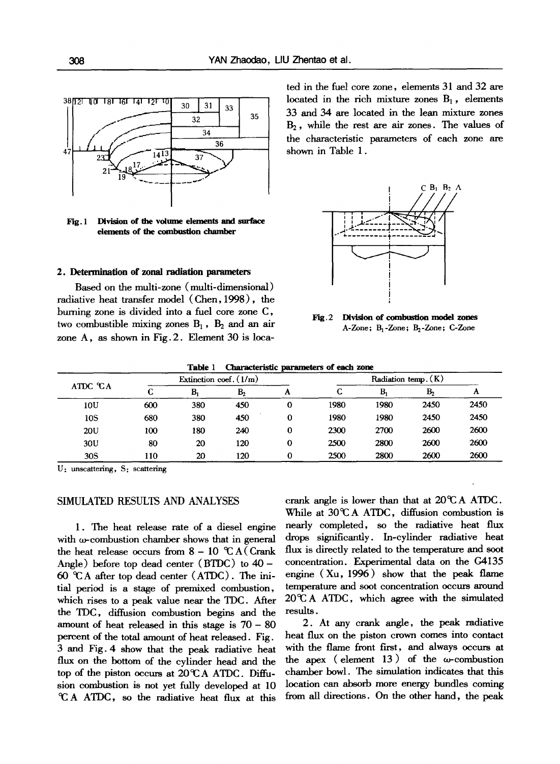

Fig. 1 Division of **the volume elements** and surface **dements of the combustion chamber** 

# **2. Determination of zonal radiation parameters**

Based on the multi-zone (multi-dimensional) radiative heat transfer model (Chen, 1998), the burning zone is divided into a fuel core zone C, two combustible mixing zones  $B_1$ ,  $B_2$  and an air zone A, as shown in Fig. 2. Element 30 is located in the fuel core zone, elements 31 and 32 are located in the rich mixture zones  $B_1$ , elements 33 and 34 are located in the lean mixture zones  $B<sub>2</sub>$ , while the rest are air zones. The values of the characteristic parameters of each zone are shown in Table 1.



Fig.2 Division of combustion model **zones**  A-Zone; B<sub>1</sub>-Zone; B<sub>2</sub>-Zone; C-Zone

#### **Table** 1 Characteristic parameters of **each zone**

| ATDC °CA | Extinction coef. $(1/m)$ |     |                |   | Radiation temp. (K) |      |                |      |
|----------|--------------------------|-----|----------------|---|---------------------|------|----------------|------|
|          | ⌒<br>u                   | B,  | B <sub>2</sub> | А | ◠<br>v.             | B    | B <sub>2</sub> | л    |
| 10U      | 600                      | 380 | 450            | 0 | 1980                | 1980 | 2450           | 2450 |
| 10S      | 680                      | 380 | 450            | 0 | 1980                | 1980 | 2450           | 2450 |
| 20U      | 100                      | 180 | 240            | 0 | 2300                | 2700 | 2600           | 2600 |
| 30U      | 80                       | 20  | 120            | 0 | 2500                | 2800 | 2600           | 2600 |
| 30S      | 110                      | 20  | 120            | 0 | 2500                | 2800 | 2600           | 2600 |

U: unscattering, S: scattering

#### SIMULATED RESULTS AND ANALYSES

1. The heat release rate of a diesel engine with  $\omega$ -combustion chamber shows that in general the heat release occurs from  $8 - 10$  °C A (Crank Angle) before top dead center (BTDC) to 40 - 60  $\mathcal{A}$  after top dead center (ATDC). The initial period is a stage of premixed combustion, which rises to a peak value near the TDC. After the TDC, diffusion combustion begins and the amount of heat released in this stage is  $70 - 80$ percent of the total amount of heat released. Fig. 3 and Fig. 4 show that the peak radiative heat flux on the bottom of the cylinder head and the top of the piston occurs at  $20^{\circ}$ CA ATDC. Diffusion combustion is not yet fully developed at 10  $\mathcal{A}$  ATDC, so the radiative heat flux at this

crank angle is lower than that at  $20^{\circ}$ CA ATDC. While at  $30^{\circ}$ CA ATDC, diffusion combustion is nearly completed, so the radiative heat flux drops significantly. In-cylinder radiative heat flux is directly related to the temperature and soot concentration. Experimental data on the G4135 engine  $(Xu, 1996)$  show that the peak flame temperature and soot concentration occurs around  $20^{\circ}$ C A ATDC, which agree with the simulated results.

2. At any crank angle, the peak radiative heat flux on the piston crown comes into contact with the flame front first, and always occurs at the apex ( element  $13$  ) of the  $\omega$ -combustion chamber bowl. The simulation indicates that this location can absorb more energy bundles coming from all directions. On the other hand, the peak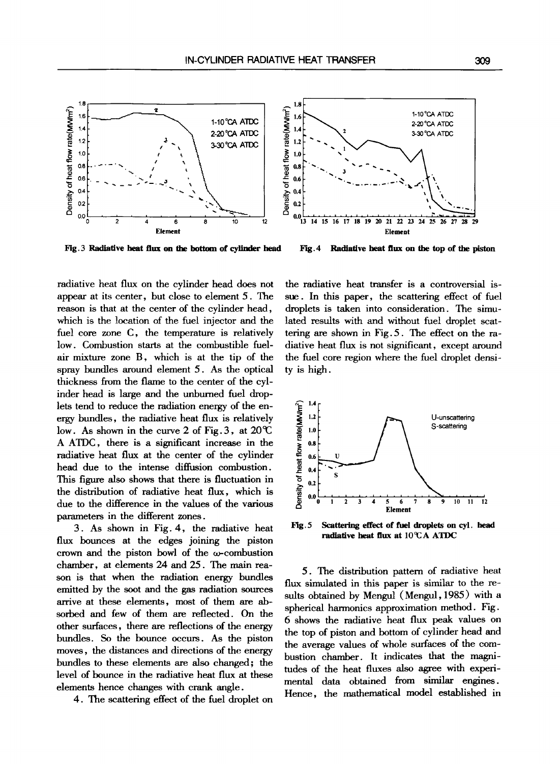

**Fig. 3 Radiative heat flux on the bottom of cylinder head** 

**Fig.4 Radiative heat flux on the top of the piston** 

radiative heat flux on the cylinder head does not appear at its center, but close to element 5. The reason is that at the center of the cylinder head, which is the location of the fuel injector and the fuel core zone C, the temperature is relatively low. Combustion starts at the combustible fuelair mixture zone B, which is at the tip of the spray bundles around element 5. As the optical thickness from the flame to the center of the cylinder head is large and the unburned fuel droplets tend to reduce the radiation energy of the energy bundles, the radiative heat flux is relatively low. As shown in the curve 2 of Fig. 3, at  $20^{\circ}$ A ATDC, there is a significant increase in the radiative heat flux at the center of the cylinder head due to the intense diffusion combustion. This figure also shows that there is fluctuation in the distribution of radiative heat flux, which is due to the difference in the values of the various parameters in the different zones.

3. As shown in Fig. 4, the radiative heat flux bounces at the edges joining the piston crown and the piston bowl of the  $\omega$ -combustion chamber, at elements 24 and 25. The main reason is that when the radiation energy bundles emitted by the soot and the gas radiation sources arrive at these elements, most of them are absorbed and few of them are reflected. On the other surfaces, there are reflections of the energy bundles. So the bounce occurs. As the piston moves, the distances and directions of the energy bundles to these elements are also changed; the level of bounce in the radiative heat flux at these elements hence changes with crank angle.

4. The scattering effect of the fuel droplet on

the radiative heat transfer is a controversial issue. In this paper, the scattering effect of fuel droplets is taken into consideration. The simulated results with and without fuel droplet scattering are shown in Fig. 5. The effect on the radiative heat flux is not significant, except around the fuel core region where the fuel droplet density is high.



**Fig. 5 Scattering effect of fuel droplets on cyl. head**  radiative heat flux at  $10^{\circ}$ CA ATDC

5. The distribution pattern of radiative heat flux simulated in this paper is similar to the resuits obtained by Mengul (Mengul, 1985) with a spherical harmonics approximation method. Fig. 6 shows the radiative heat flux peak values on the top of piston and bottom of cylinder head and the average values of whole surfaces of the combustion chamber. It indicates that the magnitudes of the heat fluxes also agree with experimental data obtained from similar engines. Hence, the mathematical model established in